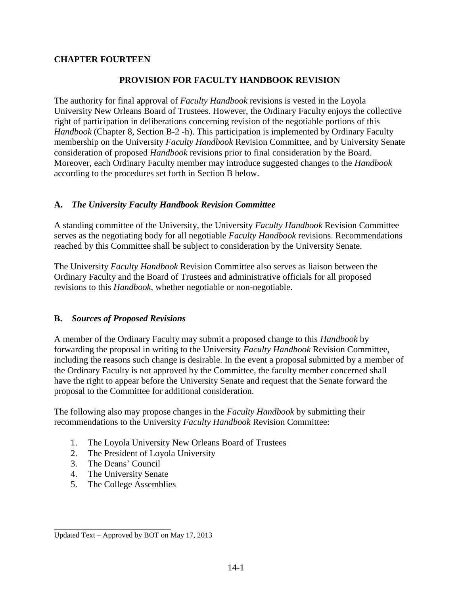### **CHAPTER FOURTEEN**

#### **PROVISION FOR FACULTY HANDBOOK REVISION**

The authority for final approval of *Faculty Handbook* revisions is vested in the Loyola University New Orleans Board of Trustees. However, the Ordinary Faculty enjoys the collective right of participation in deliberations concerning revision of the negotiable portions of this *Handbook* (Chapter 8, Section B-2 -h). This participation is implemented by Ordinary Faculty membership on the University *Faculty Handbook* Revision Committee, and by University Senate consideration of proposed *Handbook* revisions prior to final consideration by the Board. Moreover, each Ordinary Faculty member may introduce suggested changes to the *Handbook* according to the procedures set forth in Section B below.

#### **A.** *The University Faculty Handbook Revision Committee*

A standing committee of the University, the University *Faculty Handbook* Revision Committee serves as the negotiating body for all negotiable *Faculty Handbook* revisions. Recommendations reached by this Committee shall be subject to consideration by the University Senate.

The University *Faculty Handbook* Revision Committee also serves as liaison between the Ordinary Faculty and the Board of Trustees and administrative officials for all proposed revisions to this *Handbook*, whether negotiable or non-negotiable.

### **B.** *Sources of Proposed Revisions*

A member of the Ordinary Faculty may submit a proposed change to this *Handbook* by forwarding the proposal in writing to the University *Faculty Handbook* Revision Committee, including the reasons such change is desirable. In the event a proposal submitted by a member of the Ordinary Faculty is not approved by the Committee, the faculty member concerned shall have the right to appear before the University Senate and request that the Senate forward the proposal to the Committee for additional consideration.

The following also may propose changes in the *Faculty Handbook* by submitting their recommendations to the University *Faculty Handbook* Revision Committee:

- 1. The Loyola University New Orleans Board of Trustees
- 2. The President of Loyola University
- 3. The Deans' Council

\_\_\_\_\_\_\_\_\_\_\_\_\_\_\_\_\_\_\_\_\_\_\_\_\_\_

- 4. The University Senate
- 5. The College Assemblies

Updated Text – Approved by BOT on May 17, 2013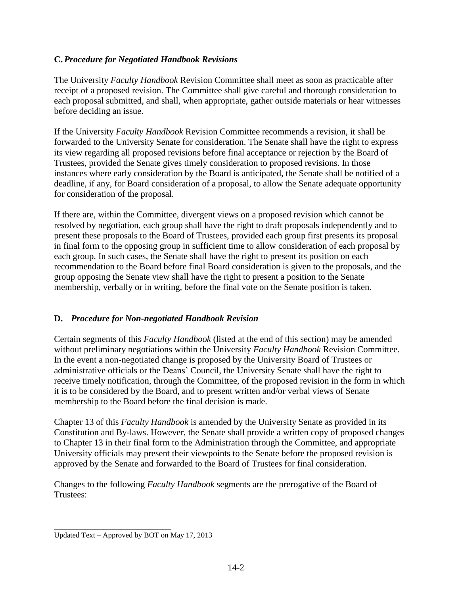### **C.** *Procedure for Negotiated Handbook Revisions*

The University *Faculty Handbook* Revision Committee shall meet as soon as practicable after receipt of a proposed revision. The Committee shall give careful and thorough consideration to each proposal submitted, and shall, when appropriate, gather outside materials or hear witnesses before deciding an issue.

If the University *Faculty Handbook* Revision Committee recommends a revision, it shall be forwarded to the University Senate for consideration. The Senate shall have the right to express its view regarding all proposed revisions before final acceptance or rejection by the Board of Trustees, provided the Senate gives timely consideration to proposed revisions. In those instances where early consideration by the Board is anticipated, the Senate shall be notified of a deadline, if any, for Board consideration of a proposal, to allow the Senate adequate opportunity for consideration of the proposal.

If there are, within the Committee, divergent views on a proposed revision which cannot be resolved by negotiation, each group shall have the right to draft proposals independently and to present these proposals to the Board of Trustees, provided each group first presents its proposal in final form to the opposing group in sufficient time to allow consideration of each proposal by each group. In such cases, the Senate shall have the right to present its position on each recommendation to the Board before final Board consideration is given to the proposals, and the group opposing the Senate view shall have the right to present a position to the Senate membership, verbally or in writing, before the final vote on the Senate position is taken.

# **D.** *Procedure for Non-negotiated Handbook Revision*

Certain segments of this *Faculty Handbook* (listed at the end of this section) may be amended without preliminary negotiations within the University *Faculty Handbook* Revision Committee. In the event a non-negotiated change is proposed by the University Board of Trustees or administrative officials or the Deans' Council, the University Senate shall have the right to receive timely notification, through the Committee, of the proposed revision in the form in which it is to be considered by the Board, and to present written and/or verbal views of Senate membership to the Board before the final decision is made.

Chapter 13 of this *Faculty Handbook* is amended by the University Senate as provided in its Constitution and By-laws. However, the Senate shall provide a written copy of proposed changes to Chapter 13 in their final form to the Administration through the Committee, and appropriate University officials may present their viewpoints to the Senate before the proposed revision is approved by the Senate and forwarded to the Board of Trustees for final consideration.

Changes to the following *Faculty Handbook* segments are the prerogative of the Board of Trustees:

\_\_\_\_\_\_\_\_\_\_\_\_\_\_\_\_\_\_\_\_\_\_\_\_\_\_

Updated Text – Approved by BOT on May 17, 2013